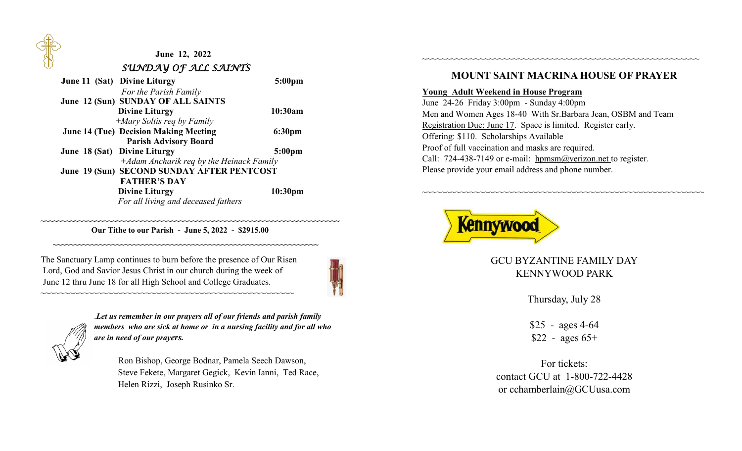

# **June 12, 2022**  *SUNDAY OF ALL SAINTS*

| <b>June 11 (Sat) Divine Liturgy</b>          | 5:00 <sub>pm</sub> |
|----------------------------------------------|--------------------|
| For the Parish Family                        |                    |
| June 12 (Sun) SUNDAY OF ALL SAINTS           |                    |
| <b>Divine Liturgy</b>                        | 10:30am            |
| $+$ <i>Mary Soltis req by Family</i>         |                    |
| <b>June 14 (Tue) Decision Making Meeting</b> | 6:30 <sub>pm</sub> |
| <b>Parish Advisory Board</b>                 |                    |
| June 18 (Sat) Divine Liturgy                 | 5:00 <sub>pm</sub> |
| +Adam Ancharik req by the Heinack Family     |                    |
| June 19 (Sun) SECOND SUNDAY AFTER PENTCOST   |                    |
| <b>FATHER'S DAY</b>                          |                    |
| <b>Divine Liturgy</b>                        | 10:30pm            |
| For all living and deceased fathers          |                    |

 **Our Tithe to our Parish - June 5, 2022 - \$2915.00 ~~~~~~~~~~~~~~~~~~~~~~~~~~~~~~~~~~~~~~~~~~~~~~~~~~~~~~~~~~~~~~~** 

**~~~~~~~~~~~~~~~~~~~~~~~~~~~~~~~~~~~~~~~~~~~~~~~~~~~~~~~~~~~~~~~~~~~~~~~** 

The Sanctuary Lamp continues to burn before the presence of Our Risen Lord, God and Savior Jesus Christ in our church during the week of June 12 thru June 18 for all High School and College Graduates.

~~~~~~~~~~~~~~~~~~~~~~~~~~~~~~~~~~~~~~~~~~~~~~~~~~~~~



.*Let us remember in our prayers all of our friends and parish family members who are sick at home or in a nursing facility and for all who are in need of our prayers.*

 Ron Bishop, George Bodnar, Pamela Seech Dawson, Steve Fekete, Margaret Gegick, Kevin Ianni, Ted Race, Helen Rizzi, Joseph Rusinko Sr.

### **MOUNT SAINT MACRINA HOUSE OF PRAYER**

~~~~~~~~~~~~~~~~~~~~~~~~~~~~~~~~~~~~~~~~~~~~~~~~~~~~~~~~~~

#### **Young Adult Weekend in House Program**

June 24-26 Friday 3:00pm - Sunday 4:00pm Men and Women Ages 18-40 With Sr.Barbara Jean, OSBM and Team Registration Due: June 17. Space is limited. Register early. Offering: \$110. Scholarships Available Proof of full vaccination and masks are required. Call: 724-438-7149 or e-mail: hpmsm@verizon.net to register. Please provide your email address and phone number.



GCU BYZANTINE FAMILY DAY KENNYWOOD PARK

~~~~~~~~~~~~~~~~~~~~~~~~~~~~~~~~~~~~~~~~~~~~~~~~~~~~~~~~~~~

Thursday, July 28

\$25 - ages 4-64  $$22$  - ages 65+

For tickets: contact GCU at 1-800-722-4428 or cchamberlain@GCUusa.com